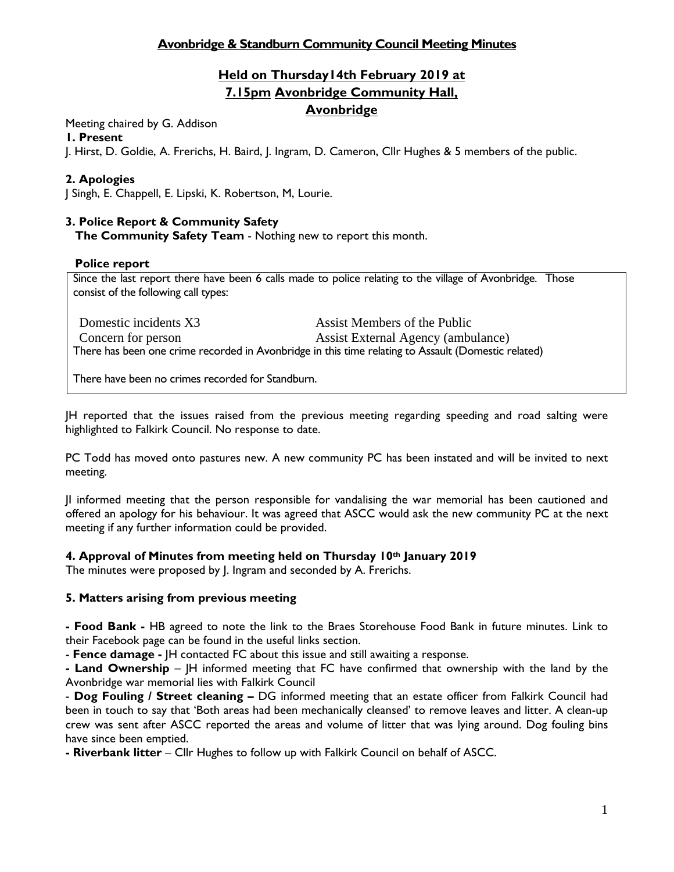# **Avonbridge & Standburn Community Council Meeting Minutes**

# **Held on Thursday14th February 2019 at 7.15pm Avonbridge Community Hall, Avonbridge**

Meeting chaired by G. Addison

## **1. Present**

J. Hirst, D. Goldie, A. Frerichs, H. Baird, J. Ingram, D. Cameron, Cllr Hughes & 5 members of the public.

# **2. Apologies**

J Singh, E. Chappell, E. Lipski, K. Robertson, M, Lourie.

# **3. Police Report & Community Safety**

**The Community Safety Team** - Nothing new to report this month.

# **Police report**

Since the last report there have been 6 calls made to police relating to the village of Avonbridge. Those consist of the following call types:

Domestic incidents X3 Assist Members of the Public Concern for person Assist External Agency (ambulance) There has been one crime recorded in Avonbridge in this time relating to Assault (Domestic related)

There have been no crimes recorded for Standburn.

JH reported that the issues raised from the previous meeting regarding speeding and road salting were highlighted to Falkirk Council. No response to date.

PC Todd has moved onto pastures new. A new community PC has been instated and will be invited to next meeting.

JI informed meeting that the person responsible for vandalising the war memorial has been cautioned and offered an apology for his behaviour. It was agreed that ASCC would ask the new community PC at the next meeting if any further information could be provided.

# **4. Approval of Minutes from meeting held on Thursday 10th January 2019**

The minutes were proposed by J. Ingram and seconded by A. Frerichs.

# **5. Matters arising from previous meeting**

**- Food Bank -** HB agreed to note the link to the Braes Storehouse Food Bank in future minutes. Link to their Facebook page can be found in the useful links section.

- **Fence damage -** JH contacted FC about this issue and still awaiting a response.

**- Land Ownership** – JH informed meeting that FC have confirmed that ownership with the land by the Avonbridge war memorial lies with Falkirk Council

- **Dog Fouling / Street cleaning –** DG informed meeting that an estate officer from Falkirk Council had been in touch to say that 'Both areas had been mechanically cleansed' to remove leaves and litter. A clean-up crew was sent after ASCC reported the areas and volume of litter that was lying around. Dog fouling bins have since been emptied.

**- Riverbank litter** – Cllr Hughes to follow up with Falkirk Council on behalf of ASCC.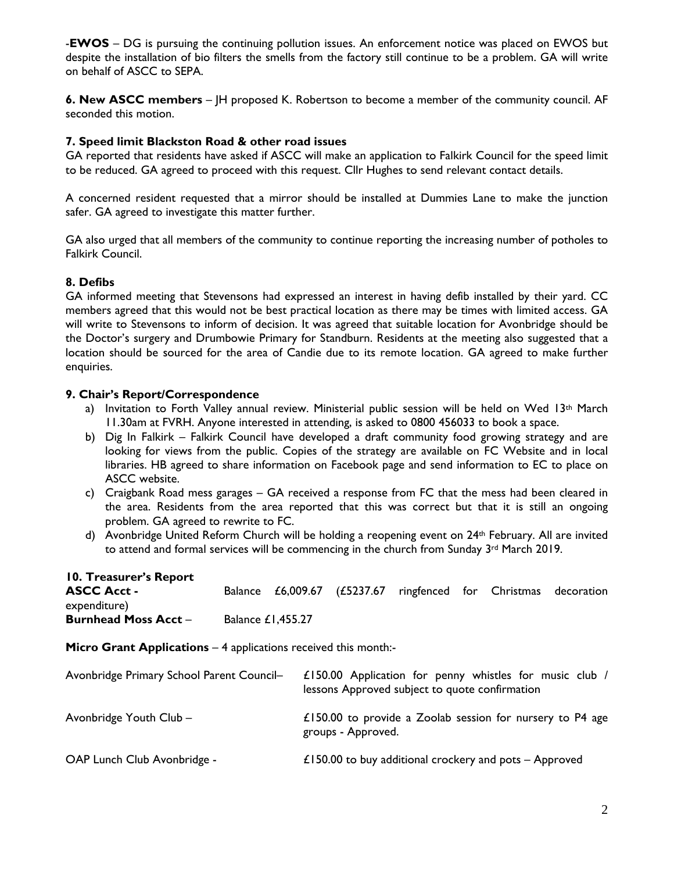-**EWOS** – DG is pursuing the continuing pollution issues. An enforcement notice was placed on EWOS but despite the installation of bio filters the smells from the factory still continue to be a problem. GA will write on behalf of ASCC to SEPA.

**6. New ASCC members** – JH proposed K. Robertson to become a member of the community council. AF seconded this motion.

### **7. Speed limit Blackston Road & other road issues**

GA reported that residents have asked if ASCC will make an application to Falkirk Council for the speed limit to be reduced. GA agreed to proceed with this request. Cllr Hughes to send relevant contact details.

A concerned resident requested that a mirror should be installed at Dummies Lane to make the junction safer. GA agreed to investigate this matter further.

GA also urged that all members of the community to continue reporting the increasing number of potholes to Falkirk Council.

# **8. Defibs**

GA informed meeting that Stevensons had expressed an interest in having defib installed by their yard. CC members agreed that this would not be best practical location as there may be times with limited access. GA will write to Stevensons to inform of decision. It was agreed that suitable location for Avonbridge should be the Doctor's surgery and Drumbowie Primary for Standburn. Residents at the meeting also suggested that a location should be sourced for the area of Candie due to its remote location. GA agreed to make further enquiries.

### **9. Chair's Report/Correspondence**

- a) Invitation to Forth Valley annual review. Ministerial public session will be held on Wed 13th March 11.30am at FVRH. Anyone interested in attending, is asked to 0800 456033 to book a space.
- b) Dig In Falkirk Falkirk Council have developed a draft community food growing strategy and are looking for views from the public. Copies of the strategy are available on FC Website and in local libraries. HB agreed to share information on Facebook page and send information to EC to place on ASCC website.
- c) Craigbank Road mess garages GA received a response from FC that the mess had been cleared in the area. Residents from the area reported that this was correct but that it is still an ongoing problem. GA agreed to rewrite to FC.
- d) Avonbridge United Reform Church will be holding a reopening event on 24th February. All are invited to attend and formal services will be commencing in the church from Sunday  $3^{rd}$  March 2019.

### **10. Treasurer's Report**

| <b>ASCC Acct -</b><br>expenditure)                                     | <b>Balance</b>           |  |                                                                                                           |  |  |  | £6,009.67 (£5237.67 ringfenced for Christmas decoration |  |
|------------------------------------------------------------------------|--------------------------|--|-----------------------------------------------------------------------------------------------------------|--|--|--|---------------------------------------------------------|--|
| <b>Burnhead Moss Acct -</b>                                            | <b>Balance £1,455.27</b> |  |                                                                                                           |  |  |  |                                                         |  |
| <b>Micro Grant Applications – 4 applications received this month:-</b> |                          |  |                                                                                                           |  |  |  |                                                         |  |
| Avonbridge Primary School Parent Council-                              |                          |  | £150.00 Application for penny whistles for music club /<br>lessons Approved subject to quote confirmation |  |  |  |                                                         |  |
| Avonbridge Youth Club -                                                |                          |  | £150.00 to provide a Zoolab session for nursery to $P4$ age<br>groups - Approved.                         |  |  |  |                                                         |  |
| OAP Lunch Club Avonbridge -                                            |                          |  | £150.00 to buy additional crockery and pots $-$ Approved                                                  |  |  |  |                                                         |  |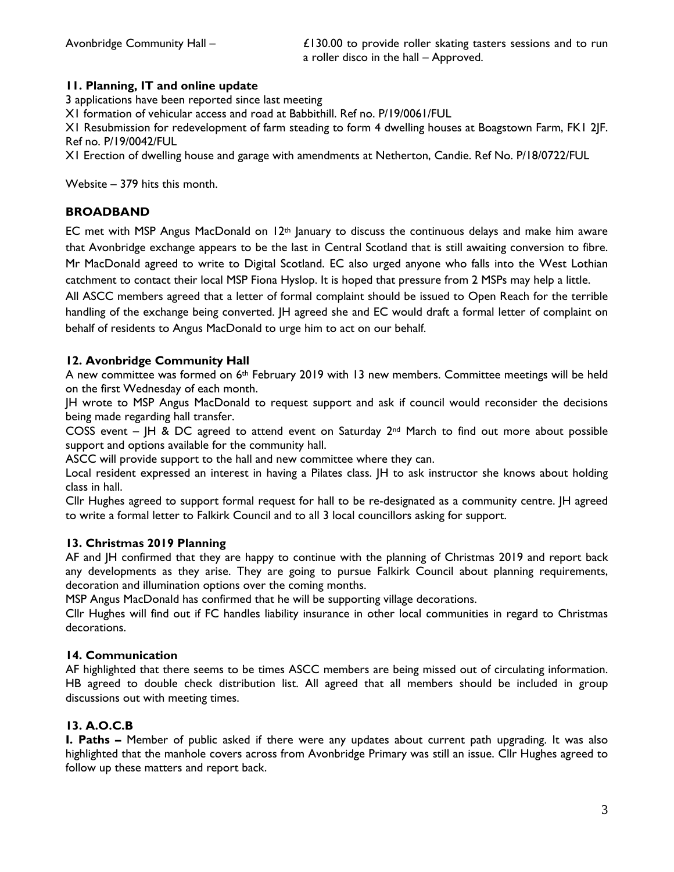Avonbridge Community Hall – **Elamphia 120.00** to provide roller skating tasters sessions and to run a roller disco in the hall – Approved.

# **11. Planning, IT and online update**

3 applications have been reported since last meeting

X1 formation of vehicular access and road at Babbithill. Ref no. P/19/0061/FUL

X1 Resubmission for redevelopment of farm steading to form 4 dwelling houses at Boagstown Farm, FK1 2JF. Ref no. P/19/0042/FUL

X1 Erection of dwelling house and garage with amendments at Netherton, Candie. Ref No. P/18/0722/FUL

Website – 379 hits this month.

# **BROADBAND**

EC met with MSP Angus MacDonald on  $12<sup>th</sup>$  January to discuss the continuous delays and make him aware that Avonbridge exchange appears to be the last in Central Scotland that is still awaiting conversion to fibre. Mr MacDonald agreed to write to Digital Scotland. EC also urged anyone who falls into the West Lothian catchment to contact their local MSP Fiona Hyslop. It is hoped that pressure from 2 MSPs may help a little.

All ASCC members agreed that a letter of formal complaint should be issued to Open Reach for the terrible handling of the exchange being converted. JH agreed she and EC would draft a formal letter of complaint on behalf of residents to Angus MacDonald to urge him to act on our behalf.

### **12. Avonbridge Community Hall**

A new committee was formed on 6<sup>th</sup> February 2019 with 13 new members. Committee meetings will be held on the first Wednesday of each month.

JH wrote to MSP Angus MacDonald to request support and ask if council would reconsider the decisions being made regarding hall transfer.

COSS event – JH & DC agreed to attend event on Saturday  $2^{nd}$  March to find out more about possible support and options available for the community hall.

ASCC will provide support to the hall and new committee where they can.

Local resident expressed an interest in having a Pilates class. JH to ask instructor she knows about holding class in hall.

Cllr Hughes agreed to support formal request for hall to be re-designated as a community centre. JH agreed to write a formal letter to Falkirk Council and to all 3 local councillors asking for support.

### **13. Christmas 2019 Planning**

AF and JH confirmed that they are happy to continue with the planning of Christmas 2019 and report back any developments as they arise. They are going to pursue Falkirk Council about planning requirements, decoration and illumination options over the coming months.

MSP Angus MacDonald has confirmed that he will be supporting village decorations.

Cllr Hughes will find out if FC handles liability insurance in other local communities in regard to Christmas decorations.

### **14. Communication**

AF highlighted that there seems to be times ASCC members are being missed out of circulating information. HB agreed to double check distribution list. All agreed that all members should be included in group discussions out with meeting times.

# **13. A.O.C.B**

**I. Paths –** Member of public asked if there were any updates about current path upgrading. It was also highlighted that the manhole covers across from Avonbridge Primary was still an issue. Cllr Hughes agreed to follow up these matters and report back.